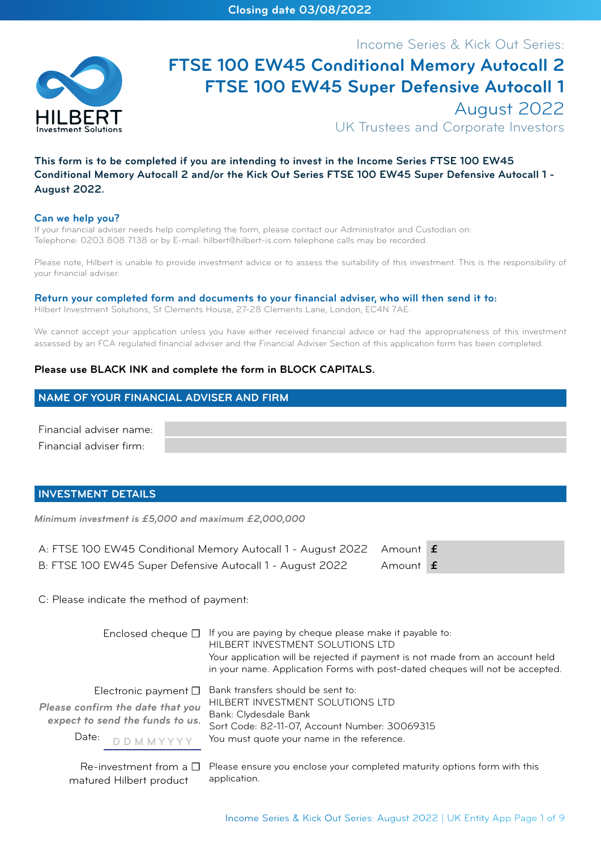

# Income Series & Kick Out Series: **FTSE 100 EW45 Conditional Memory Autocall 2 FTSE 100 EW45 Super Defensive Autocall 1** August 2022

UK Trustees and Corporate Investors

## **This form is to be completed if you are intending to invest in the Income Series FTSE 100 EW45 Conditional Memory Autocall 2 and/or the Kick Out Series FTSE 100 EW45 Super Defensive Autocall 1 - August 2022.**

#### **Can we help you?**

If your financial adviser needs help completing the form, please contact our Administrator and Custodian on: Telephone: 0203 808 7138 or by E-mail: hilbert@hilbert-is.com telephone calls may be recorded.

Please note, Hilbert is unable to provide investment advice or to assess the suitability of this investment. This is the responsibility of your financial adviser.

#### **Return your completed form and documents to your financial adviser, who will then send it to:**

Hilbert Investment Solutions, St Clements House, 27-28 Clements Lane, London, EC4N 7AE.

We cannot accept your application unless you have either received financial advice or had the appropriateness of this investment assessed by an FCA regulated financial adviser and the Financial Adviser Section of this application form has been completed.

## **Please use BLACK INK and complete the form in BLOCK CAPITALS.**

## **NAME OF YOUR FINANCIAL ADVISER AND FIRM**

Financial adviser name: Financial adviser firm:

## **INVESTMENT DETAILS**

*Minimum investment is £5,000 and maximum £2,000,000*

| A: FTSE 100 EW45 Conditional Memory Autocall 1 - August 2022 Amount <b>f</b> |          |  |
|------------------------------------------------------------------------------|----------|--|
| B: FTSE 100 EW45 Super Defensive Autocall 1 - August 2022                    | Amount f |  |

application.

C: Please indicate the method of payment:

matured Hilbert product

|                                                                                                                                 | Enclosed cheque $\Box$ If you are paying by cheque please make it payable to:<br>HILBERT INVESTMENT SOLUTIONS LTD<br>Your application will be rejected if payment is not made from an account held<br>in your name. Application Forms with post-dated cheques will not be accepted. |
|---------------------------------------------------------------------------------------------------------------------------------|-------------------------------------------------------------------------------------------------------------------------------------------------------------------------------------------------------------------------------------------------------------------------------------|
| Electronic payment $\square$<br>Please confirm the date that you<br>expect to send the funds to us.<br>Date:<br><b>DDMMYYYY</b> | Bank transfers should be sent to:<br>HILBERT INVESTMENT SOLUTIONS LTD<br>Bank: Clydesdale Bank<br>Sort Code: 82-11-07, Account Number: 30069315<br>You must quote your name in the reference.                                                                                       |
|                                                                                                                                 | $Re$ -investment from a $\square$ Please ensure you enclose your completed maturity options form with this                                                                                                                                                                          |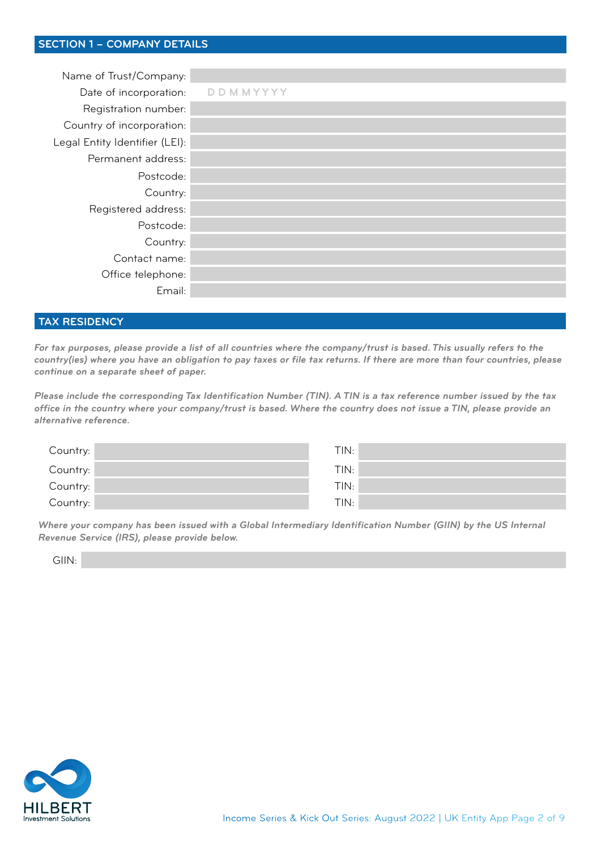| Name of Trust/Company:         |          |
|--------------------------------|----------|
| Date of incorporation:         | DDMMYYYY |
| Registration number:           |          |
| Country of incorporation:      |          |
| Legal Entity Identifier (LEI): |          |
| Permanent address:             |          |
| Postcode:                      |          |
| Country:                       |          |
| Registered address:            |          |
| Postcode:                      |          |
| Country:                       |          |
| Contact name:                  |          |
| Office telephone:              |          |
| Email:                         |          |

## **TAX RESIDENCY**

*For tax purposes, please provide a list of all countries where the company/trust is based. This usually refers to the country(ies) where you have an obligation to pay taxes or file tax returns. If there are more than four countries, please continue on a separate sheet of paper.*

*Please include the corresponding Tax Identification Number (TIN). A TIN is a tax reference number issued by the tax office in the country where your company/trust is based. Where the country does not issue a TIN, please provide an alternative reference.*

| Country: | TIN: |
|----------|------|
| Country: | TIN: |
| Country: | TIN: |
| Country: | TIN: |

*Where your company has been issued with a Global Intermediary Identification Number (GIIN) by the US Internal Revenue Service (IRS), please provide below.*

GIIN:

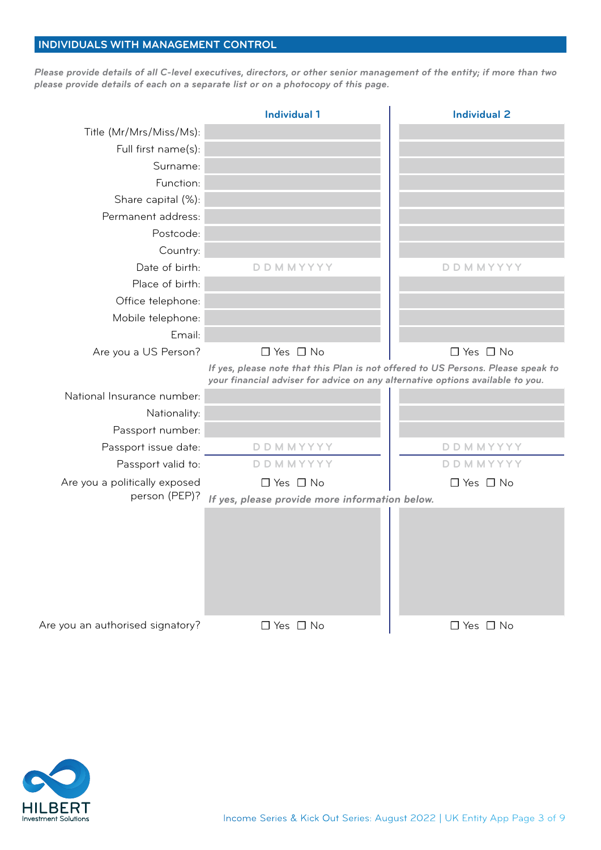# **INDIVIDUALS WITH MANAGEMENT CONTROL**

*Please provide details of all C-level executives, directors, or other senior management of the entity; if more than two please provide details of each on a separate list or on a photocopy of this page.*

|                                  | <b>Individual 1</b>                                                                                                                                                | <b>Individual 2</b>  |
|----------------------------------|--------------------------------------------------------------------------------------------------------------------------------------------------------------------|----------------------|
| Title (Mr/Mrs/Miss/Ms):          |                                                                                                                                                                    |                      |
| Full first name(s):              |                                                                                                                                                                    |                      |
| Surname:                         |                                                                                                                                                                    |                      |
| Function:                        |                                                                                                                                                                    |                      |
| Share capital (%):               |                                                                                                                                                                    |                      |
| Permanent address:               |                                                                                                                                                                    |                      |
| Postcode:                        |                                                                                                                                                                    |                      |
| Country:                         |                                                                                                                                                                    |                      |
| Date of birth:                   | <b>DDMMYYYY</b>                                                                                                                                                    | DDMMYYYY             |
| Place of birth:                  |                                                                                                                                                                    |                      |
| Office telephone:                |                                                                                                                                                                    |                      |
| Mobile telephone:                |                                                                                                                                                                    |                      |
| Email:                           |                                                                                                                                                                    |                      |
| Are you a US Person?             | $\Box$ Yes $\Box$ No                                                                                                                                               | $\Box$ Yes $\Box$ No |
|                                  | If yes, please note that this Plan is not offered to US Persons. Please speak to<br>your financial adviser for advice on any alternative options available to you. |                      |
| National Insurance number:       |                                                                                                                                                                    |                      |
| Nationality:                     |                                                                                                                                                                    |                      |
| Passport number:                 |                                                                                                                                                                    |                      |
| Passport issue date:             | <b>DDMMYYYY</b>                                                                                                                                                    | DDMMYYYY             |
| Passport valid to:               | <b>DDMMYYYY</b>                                                                                                                                                    | DDMMYYYY             |
| Are you a politically exposed    | $\Box$ Yes $\Box$ No                                                                                                                                               | $\Box$ Yes $\Box$ No |
| person (PEP)?                    | If yes, please provide more information below.                                                                                                                     |                      |
|                                  |                                                                                                                                                                    |                      |
| Are you an authorised signatory? | $\Box$ Yes $\Box$ No                                                                                                                                               | $\Box$ Yes $\Box$ No |

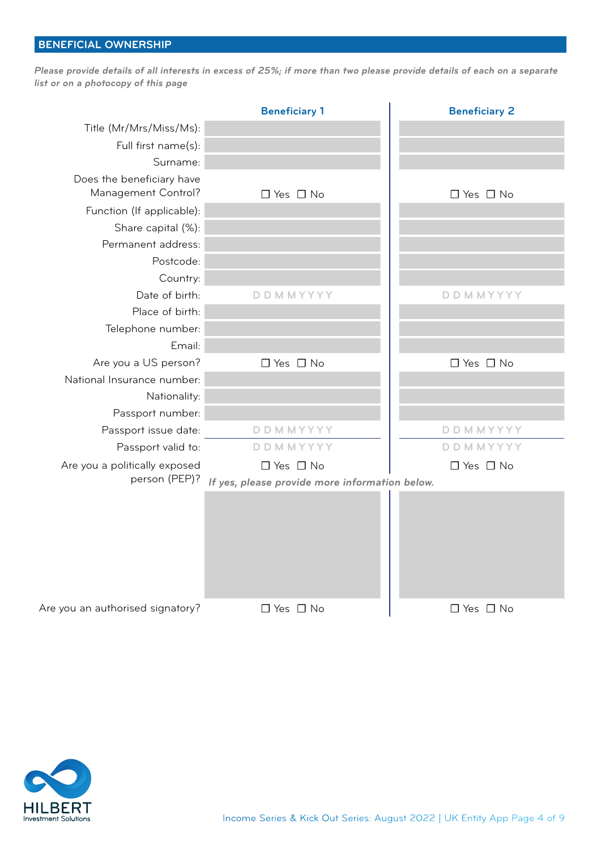# **BENEFICIAL OWNERSHIP**

*Please provide details of all interests in excess of 25%; if more than two please provide details of each on a separate list or on a photocopy of this page*

|                                                  | <b>Beneficiary 1</b>                           | <b>Beneficiary 2</b> |
|--------------------------------------------------|------------------------------------------------|----------------------|
| Title (Mr/Mrs/Miss/Ms):                          |                                                |                      |
| Full first name(s):                              |                                                |                      |
| Surname:                                         |                                                |                      |
| Does the beneficiary have<br>Management Control? | $\Box$ Yes $\Box$ No                           | $\Box$ Yes $\Box$ No |
| Function (If applicable):                        |                                                |                      |
| Share capital (%):                               |                                                |                      |
| Permanent address:                               |                                                |                      |
| Postcode:                                        |                                                |                      |
| Country:                                         |                                                |                      |
| Date of birth:                                   | <b>DDMMYYYY</b>                                | <b>DDMMYYYY</b>      |
| Place of birth:                                  |                                                |                      |
| Telephone number:                                |                                                |                      |
| Email:                                           |                                                |                      |
| Are you a US person?                             | $\Box$ Yes $\Box$ No                           | $\Box$ Yes $\Box$ No |
| National Insurance number:                       |                                                |                      |
| Nationality:                                     |                                                |                      |
| Passport number:                                 |                                                |                      |
| Passport issue date:                             | <b>DDMMYYYY</b>                                | DDMMYYYY             |
| Passport valid to:                               | <b>DDMMYYYY</b>                                | <b>DDMMYYYY</b>      |
| Are you a politically exposed                    | $\Box$ Yes $\Box$ No                           | $\Box$ Yes $\Box$ No |
| person (PEP)?                                    | If yes, please provide more information below. |                      |
|                                                  |                                                |                      |
| Are you an authorised signatory?                 | $\Box$ Yes $\Box$ No                           | $\Box$ Yes $\Box$ No |

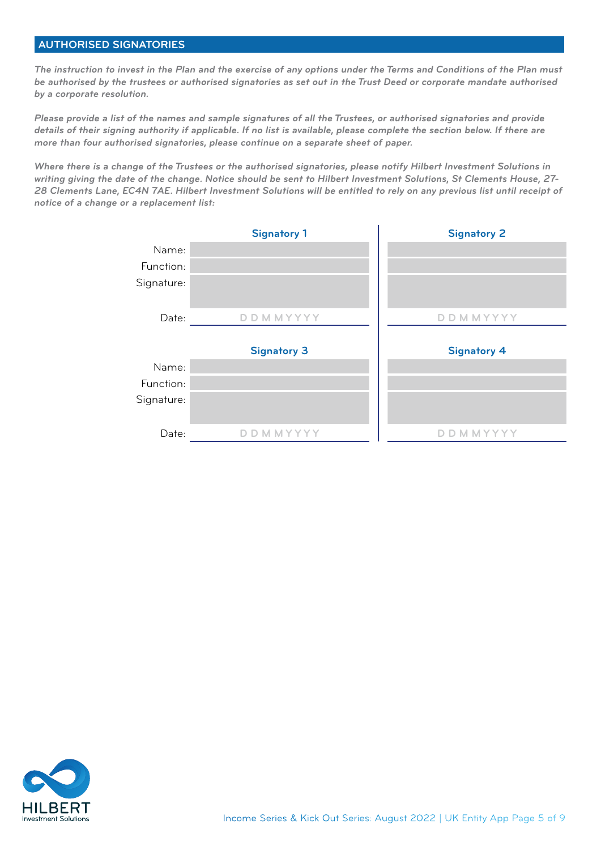## **AUTHORISED SIGNATORIES**

*The instruction to invest in the Plan and the exercise of any options under the Terms and Conditions of the Plan must be authorised by the trustees or authorised signatories as set out in the Trust Deed or corporate mandate authorised by a corporate resolution.*

*Please provide a list of the names and sample signatures of all the Trustees, or authorised signatories and provide details of their signing authority if applicable. If no list is available, please complete the section below. If there are more than four authorised signatories, please continue on a separate sheet of paper.* 

*Where there is a change of the Trustees or the authorised signatories, please notify Hilbert Investment Solutions in writing giving the date of the change. Notice should be sent to Hilbert Investment Solutions, St Clements House, 27- 28 Clements Lane, EC4N 7AE. Hilbert Investment Solutions will be entitled to rely on any previous list until receipt of notice of a change or a replacement list:*

|            | <b>Signatory 1</b>     | <b>Signatory 2</b> |
|------------|------------------------|--------------------|
| Name:      |                        |                    |
| Function:  |                        |                    |
| Signature: |                        |                    |
| Date:      | <b>D D M M Y Y Y Y</b> | D D M M Y Y Y Y    |
|            |                        |                    |
|            | <b>Signatory 3</b>     | <b>Signatory 4</b> |
| Name:      |                        |                    |
| Function:  |                        |                    |
| Signature: |                        |                    |
| Date:      | <b>DDMMYYYY</b>        | <b>DDMMYYYY</b>    |
|            |                        |                    |

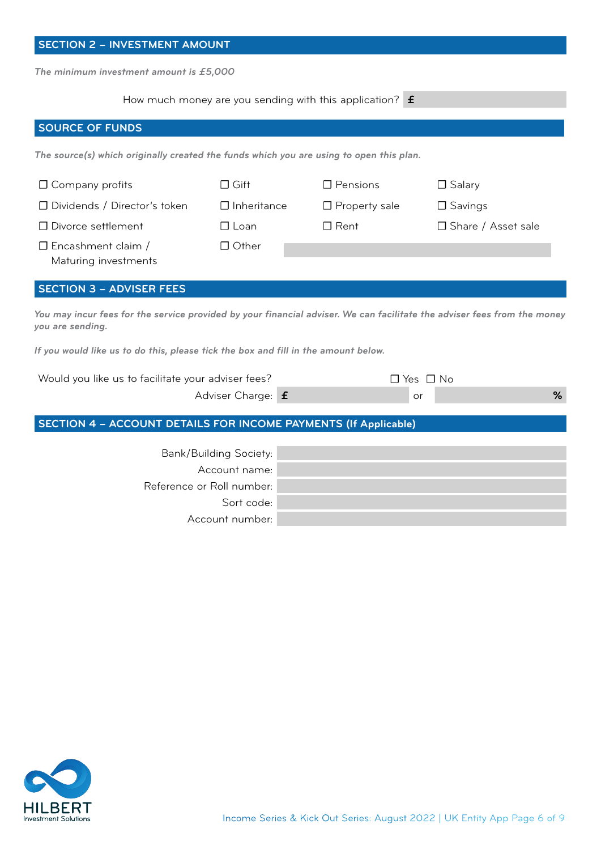| <b>SECTION 2 - INVESTMENT AMOUNT</b>                                                                                                         |                               |                                                                   |                      |
|----------------------------------------------------------------------------------------------------------------------------------------------|-------------------------------|-------------------------------------------------------------------|----------------------|
| The minimum investment amount is £5,000                                                                                                      |                               |                                                                   |                      |
|                                                                                                                                              |                               | How much money are you sending with this application? $\mathbf f$ |                      |
| <b>SOURCE OF FUNDS</b>                                                                                                                       |                               |                                                                   |                      |
| The source(s) which originally created the funds which you are using to open this plan.                                                      |                               |                                                                   |                      |
| $\Box$ Company profits                                                                                                                       | $\Box$ Gift                   | $\Box$ Pensions                                                   | $\Box$ Salary        |
| □ Dividends / Director's token                                                                                                               | $\Box$ Inheritance            | $\Box$ Property sale                                              | $\Box$ Savings       |
| □ Divorce settlement                                                                                                                         | $\Box$ Loan                   | $\Box$ Rent                                                       | □ Share / Asset sale |
| $\Box$ Encashment claim /<br>Maturing investments                                                                                            | $\Box$ Other                  |                                                                   |                      |
| <b>SECTION 3 - ADVISER FEES</b>                                                                                                              |                               |                                                                   |                      |
| You may incur fees for the service provided by your financial adviser. We can facilitate the adviser fees from the money<br>you are sending. |                               |                                                                   |                      |
| If you would like us to do this, please tick the box and fill in the amount below.                                                           |                               |                                                                   |                      |
| Would you like us to facilitate your adviser fees?                                                                                           |                               |                                                                   | $\Box$ Yes $\Box$ No |
|                                                                                                                                              | Adviser Charge: f             |                                                                   | %<br>or              |
| <b>SECTION 4 - ACCOUNT DETAILS FOR INCOME PAYMENTS (If Applicable)</b>                                                                       |                               |                                                                   |                      |
|                                                                                                                                              | <b>Bank/Building Society:</b> |                                                                   |                      |
|                                                                                                                                              | Account name:                 |                                                                   |                      |
|                                                                                                                                              | Reference or Roll number:     |                                                                   |                      |
|                                                                                                                                              | Sort code:                    |                                                                   |                      |

Account number:

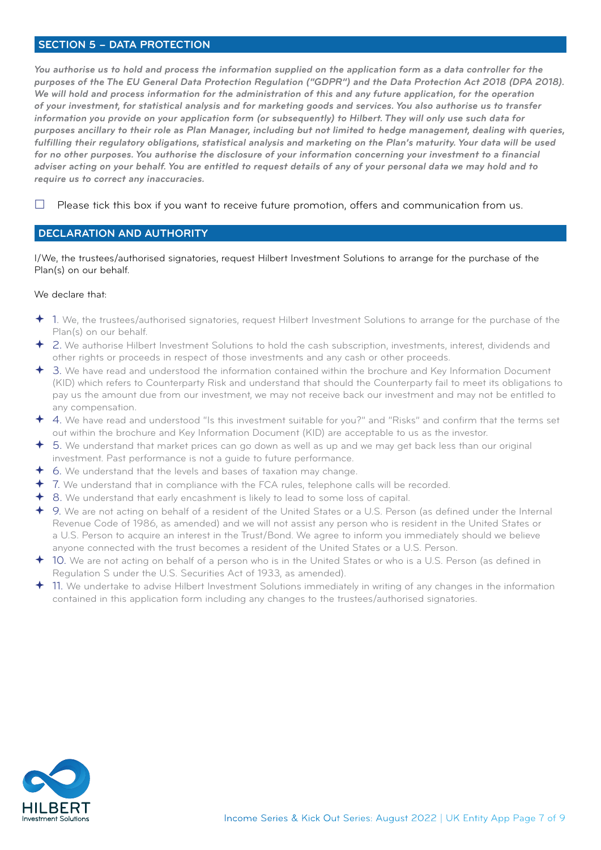## **SECTION 5 – DATA PROTECTION**

*You authorise us to hold and process the information supplied on the application form as a data controller for the* purposes of the The EU General Data Protection Regulation ("GDPR") and the Data Protection Act 2018 (DPA 2018). We will hold and process information for the administration of this and any future application, for the operation *of your investment, for statistical analysis and for marketing goods and services. You also authorise us to transfer information you provide on your application form (or subsequently) to Hilbert. They will only use such data for purposes ancillary to their role as Plan Manager, including but not limited to hedge management, dealing with queries, fulfilling their regulatory obligations, statistical analysis and marketing on the Plan's maturity. Your data will be used for no other purposes. You authorise the disclosure of your information concerning your investment to a financial adviser acting on your behalf. You are entitled to request details of any of your personal data we may hold and to require us to correct any inaccuracies.*

 $\Box$  Please tick this box if you want to receive future promotion, offers and communication from us.

## **DECLARATION AND AUTHORITY**

I/We, the trustees/authorised signatories, request Hilbert Investment Solutions to arrange for the purchase of the Plan(s) on our behalf.

#### We declare that:

- 1. We, the trustees/authorised signatories, request Hilbert Investment Solutions to arrange for the purchase of the Plan(s) on our behalf.
- 2. We authorise Hilbert Investment Solutions to hold the cash subscription, investments, interest, dividends and other rights or proceeds in respect of those investments and any cash or other proceeds.
- 3. We have read and understood the information contained within the brochure and Key Information Document (KID) which refers to Counterparty Risk and understand that should the Counterparty fail to meet its obligations to pay us the amount due from our investment, we may not receive back our investment and may not be entitled to any compensation.
- 4. We have read and understood "Is this investment suitable for you?" and "Risks" and confirm that the terms set out within the brochure and Key Information Document (KID) are acceptable to us as the investor.
- 5. We understand that market prices can go down as well as up and we may get back less than our original investment. Past performance is not a guide to future performance.
- 6. We understand that the levels and bases of taxation may change.
- 7. We understand that in compliance with the FCA rules, telephone calls will be recorded.
- 8. We understand that early encashment is likely to lead to some loss of capital.
- 9. We are not acting on behalf of a resident of the United States or a U.S. Person (as defined under the Internal Revenue Code of 1986, as amended) and we will not assist any person who is resident in the United States or a U.S. Person to acquire an interest in the Trust/Bond. We agree to inform you immediately should we believe anyone connected with the trust becomes a resident of the United States or a U.S. Person.
- 10. We are not acting on behalf of a person who is in the United States or who is a U.S. Person (as defined in Regulation S under the U.S. Securities Act of 1933, as amended).
- 11. We undertake to advise Hilbert Investment Solutions immediately in writing of any changes in the information contained in this application form including any changes to the trustees/authorised signatories.

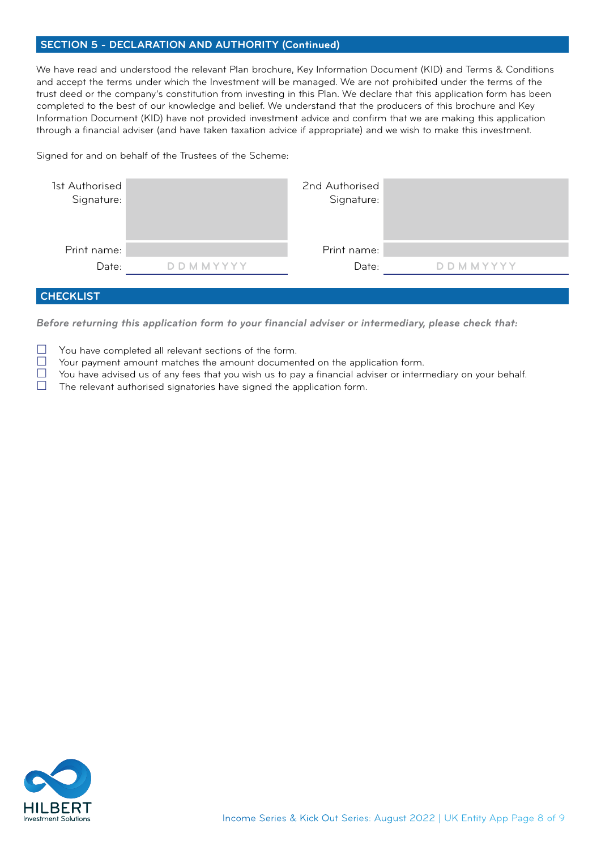## **SECTION 5 - DECLARATION AND AUTHORITY (Continued)**

We have read and understood the relevant Plan brochure, Key Information Document (KID) and Terms & Conditions and accept the terms under which the Investment will be managed. We are not prohibited under the terms of the trust deed or the company's constitution from investing in this Plan. We declare that this application form has been completed to the best of our knowledge and belief. We understand that the producers of this brochure and Key Information Document (KID) have not provided investment advice and confirm that we are making this application through a financial adviser (and have taken taxation advice if appropriate) and we wish to make this investment.

Signed for and on behalf of the Trustees of the Scheme:

| 1st Authorised<br>Signature: |                 | 2nd Authorised<br>Signature: |                 |
|------------------------------|-----------------|------------------------------|-----------------|
| Print name:                  |                 | Print name:                  |                 |
| Date:                        | D D M M Y Y Y Y | Date:                        | <b>DDMMYYYY</b> |
|                              |                 |                              |                 |

# **CHECKLIST**

*Before returning this application form to your financial adviser or intermediary, please check that:*

- $\Box$  You have completed all relevant sections of the form.<br> $\Box$  Your payment amount matches the amount document
- $\Box$  Your payment amount matches the amount documented on the application form.<br> $\Box$  You have advised us of any fees that you wish us to pay a financial adviser or interr
- $\Box$  You have advised us of any fees that you wish us to pay a financial adviser or intermediary on your behalf.<br>
The relevant authorised signatories have signed the application form
- The relevant authorised signatories have signed the application form.